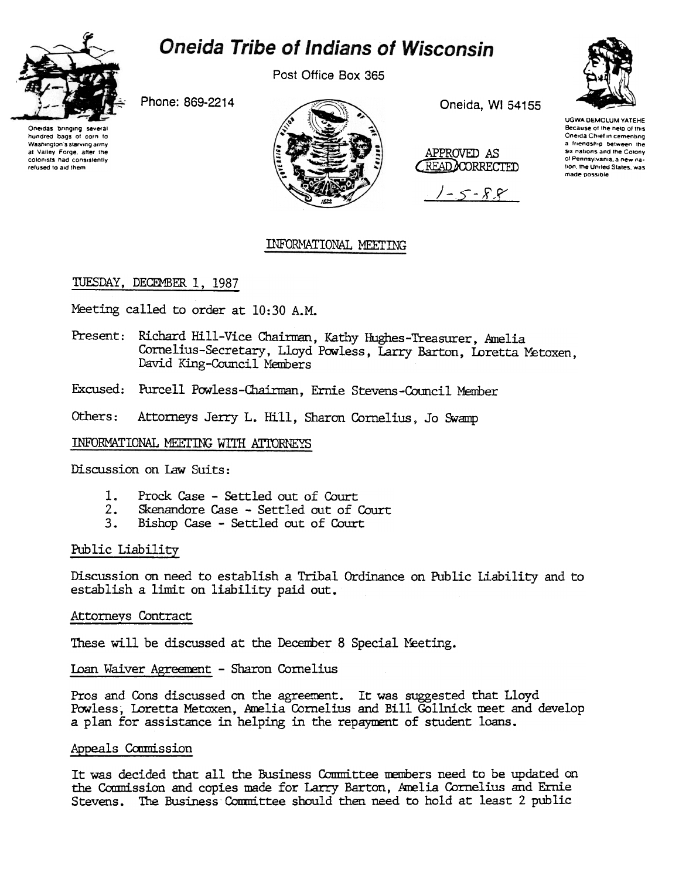

# **Oneida Tribe of Indians of Wisconsin**

Post Office Box 365

Phone: 869-2214

Oneidas bringin hundred bags of corn to Washington's starving army at Valley Forge, after the colonists had consistently refused to aid them



Oneida, WI 54155

APPROVED AS READ CORRECTED

 $-5 - 8.8$ 



## INFORMATIONAL MEETING

### TUESDAY, DECEMBER 1, 1987

Meeting called to order at 10:30 A.M.

Present: Richard Hill-Vice Chairman, Kathy Hughes-Treasurer, Amelia Cornelius-Secretary, Lloyd Powless, Larry Barton, Loretta Metoxen, David King-Council Members

Excused: Purcell Powless-Chairman, Ernie Stevens-Council Member

Others: Attorneys Jerry L. Hill, Sharon Cornelius, Jo Swamp

INFORMATIONAL MEETING WITH ATTORNEYS

Discussion on Law Suits:

- Prock Case Settled out of Court  $1.$
- $2.$ Skenandore Case - Settled out of Court
- Bishop Case Settled out of Court  $3.$

### Public Liability

Discussion on need to establish a Tribal Ordinance on Public Liability and to establish a limit on liability paid out.

Attorneys Contract

These will be discussed at the December 8 Special Meeting.

Loan Waiver Agreement - Sharon Cornelius

Pros and Cons discussed on the agreement. It was suggested that Lloyd Powless. Loretta Metoxen. Amelia Cornelius and Bill Gollnick meet and develop a plan for assistance in helping in the repayment of student loans.

### Appeals Commission

It was decided that all the Business Committee members need to be updated on the Commission and copies made for Larry Barton, Amelia Cornelius and Ernie Stevens. The Business Committee should then need to hold at least 2 public